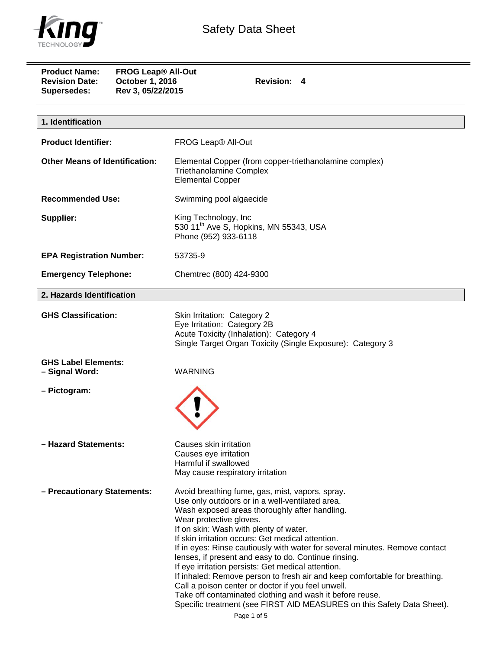

| <b>Product Name:</b><br><b>FROG Leap<sup>®</sup> All-Out</b><br><b>Revision Date:</b><br>October 1, 2016<br>Rev 3, 05/22/2015<br>Supersedes: | Revision: 4                                                                                                                                                                                                                                                                                                                                                                                                                                                                                                                                                                                                                                                                                                                                          |
|----------------------------------------------------------------------------------------------------------------------------------------------|------------------------------------------------------------------------------------------------------------------------------------------------------------------------------------------------------------------------------------------------------------------------------------------------------------------------------------------------------------------------------------------------------------------------------------------------------------------------------------------------------------------------------------------------------------------------------------------------------------------------------------------------------------------------------------------------------------------------------------------------------|
| 1. Identification                                                                                                                            |                                                                                                                                                                                                                                                                                                                                                                                                                                                                                                                                                                                                                                                                                                                                                      |
| <b>Product Identifier:</b>                                                                                                                   | FROG Leap® All-Out                                                                                                                                                                                                                                                                                                                                                                                                                                                                                                                                                                                                                                                                                                                                   |
| <b>Other Means of Identification:</b>                                                                                                        | Elemental Copper (from copper-triethanolamine complex)<br><b>Triethanolamine Complex</b><br><b>Elemental Copper</b>                                                                                                                                                                                                                                                                                                                                                                                                                                                                                                                                                                                                                                  |
| <b>Recommended Use:</b>                                                                                                                      | Swimming pool algaecide                                                                                                                                                                                                                                                                                                                                                                                                                                                                                                                                                                                                                                                                                                                              |
| Supplier:                                                                                                                                    | King Technology, Inc.<br>530 11 <sup>th</sup> Ave S, Hopkins, MN 55343, USA<br>Phone (952) 933-6118                                                                                                                                                                                                                                                                                                                                                                                                                                                                                                                                                                                                                                                  |
| <b>EPA Registration Number:</b>                                                                                                              | 53735-9                                                                                                                                                                                                                                                                                                                                                                                                                                                                                                                                                                                                                                                                                                                                              |
| <b>Emergency Telephone:</b>                                                                                                                  | Chemtrec (800) 424-9300                                                                                                                                                                                                                                                                                                                                                                                                                                                                                                                                                                                                                                                                                                                              |
| 2. Hazards Identification                                                                                                                    |                                                                                                                                                                                                                                                                                                                                                                                                                                                                                                                                                                                                                                                                                                                                                      |
| <b>GHS Classification:</b>                                                                                                                   | Skin Irritation: Category 2<br>Eye Irritation: Category 2B<br>Acute Toxicity (Inhalation): Category 4<br>Single Target Organ Toxicity (Single Exposure): Category 3                                                                                                                                                                                                                                                                                                                                                                                                                                                                                                                                                                                  |
| <b>GHS Label Elements:</b><br>- Signal Word:                                                                                                 | <b>WARNING</b>                                                                                                                                                                                                                                                                                                                                                                                                                                                                                                                                                                                                                                                                                                                                       |
| - Pictogram:                                                                                                                                 |                                                                                                                                                                                                                                                                                                                                                                                                                                                                                                                                                                                                                                                                                                                                                      |
| - Hazard Statements:                                                                                                                         | Causes skin irritation<br>Causes eye irritation<br>Harmful if swallowed<br>May cause respiratory irritation                                                                                                                                                                                                                                                                                                                                                                                                                                                                                                                                                                                                                                          |
| - Precautionary Statements:                                                                                                                  | Avoid breathing fume, gas, mist, vapors, spray.<br>Use only outdoors or in a well-ventilated area.<br>Wash exposed areas thoroughly after handling.<br>Wear protective gloves.<br>If on skin: Wash with plenty of water.<br>If skin irritation occurs: Get medical attention.<br>If in eyes: Rinse cautiously with water for several minutes. Remove contact<br>lenses, if present and easy to do. Continue rinsing.<br>If eye irritation persists: Get medical attention.<br>If inhaled: Remove person to fresh air and keep comfortable for breathing.<br>Call a poison center or doctor if you feel unwell.<br>Take off contaminated clothing and wash it before reuse.<br>Specific treatment (see FIRST AID MEASURES on this Safety Data Sheet). |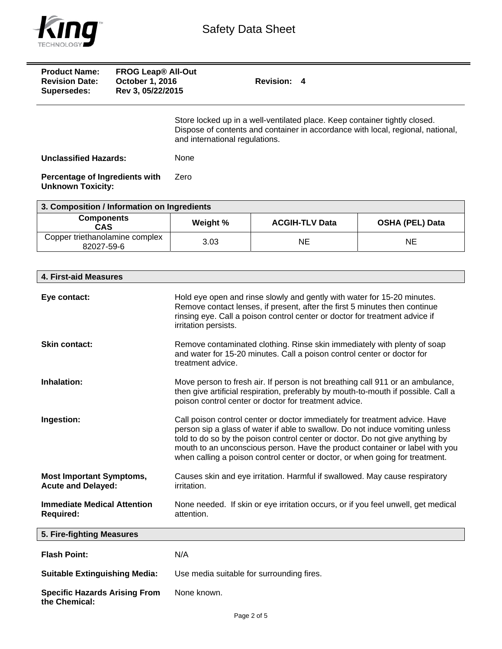

| <b>Product Name:</b><br><b>Revision Date:</b><br>Supersedes: | <b>FROG Leap<sup>®</sup> All-Out</b><br>October 1, 2016<br>Rev 3, 05/22/2015 | <b>Revision: 4</b>                                                                                                                                                                              |
|--------------------------------------------------------------|------------------------------------------------------------------------------|-------------------------------------------------------------------------------------------------------------------------------------------------------------------------------------------------|
|                                                              |                                                                              | Store locked up in a well-ventilated place. Keep container tightly closed.<br>Dispose of contents and container in accordance with local, regional, national,<br>and international regulations. |
| <b>Unclassified Hazards:</b>                                 |                                                                              | None                                                                                                                                                                                            |
| Percentage of Ingredients with<br><b>Unknown Toxicity:</b>   |                                                                              | Zero                                                                                                                                                                                            |

| 3. Composition / Information on Ingredients  |          |                       |                        |
|----------------------------------------------|----------|-----------------------|------------------------|
| <b>Components</b><br><b>CAS</b>              | Weight % | <b>ACGIH-TLV Data</b> | <b>OSHA (PEL) Data</b> |
| Copper triethanolamine complex<br>82027-59-6 | 3.03     | ΝE                    | ΝE                     |

| 4. First-aid Measures                                        |                                                                                                                                                                                                                                                                                                                                                                                                               |
|--------------------------------------------------------------|---------------------------------------------------------------------------------------------------------------------------------------------------------------------------------------------------------------------------------------------------------------------------------------------------------------------------------------------------------------------------------------------------------------|
| Eye contact:                                                 | Hold eye open and rinse slowly and gently with water for 15-20 minutes.<br>Remove contact lenses, if present, after the first 5 minutes then continue<br>rinsing eye. Call a poison control center or doctor for treatment advice if<br>irritation persists.                                                                                                                                                  |
| <b>Skin contact:</b>                                         | Remove contaminated clothing. Rinse skin immediately with plenty of soap<br>and water for 15-20 minutes. Call a poison control center or doctor for<br>treatment advice.                                                                                                                                                                                                                                      |
| Inhalation:                                                  | Move person to fresh air. If person is not breathing call 911 or an ambulance,<br>then give artificial respiration, preferably by mouth-to-mouth if possible. Call a<br>poison control center or doctor for treatment advice.                                                                                                                                                                                 |
| Ingestion:                                                   | Call poison control center or doctor immediately for treatment advice. Have<br>person sip a glass of water if able to swallow. Do not induce vomiting unless<br>told to do so by the poison control center or doctor. Do not give anything by<br>mouth to an unconscious person. Have the product container or label with you<br>when calling a poison control center or doctor, or when going for treatment. |
| <b>Most Important Symptoms,</b><br><b>Acute and Delayed:</b> | Causes skin and eye irritation. Harmful if swallowed. May cause respiratory<br>irritation.                                                                                                                                                                                                                                                                                                                    |
| <b>Immediate Medical Attention</b><br><b>Required:</b>       | None needed. If skin or eye irritation occurs, or if you feel unwell, get medical<br>attention.                                                                                                                                                                                                                                                                                                               |
| 5. Fire-fighting Measures                                    |                                                                                                                                                                                                                                                                                                                                                                                                               |
| <b>Flash Point:</b>                                          | N/A                                                                                                                                                                                                                                                                                                                                                                                                           |
| <b>Suitable Extinguishing Media:</b>                         | Use media suitable for surrounding fires.                                                                                                                                                                                                                                                                                                                                                                     |
| <b>Specific Hazards Arising From</b><br>the Chemical:        | None known.                                                                                                                                                                                                                                                                                                                                                                                                   |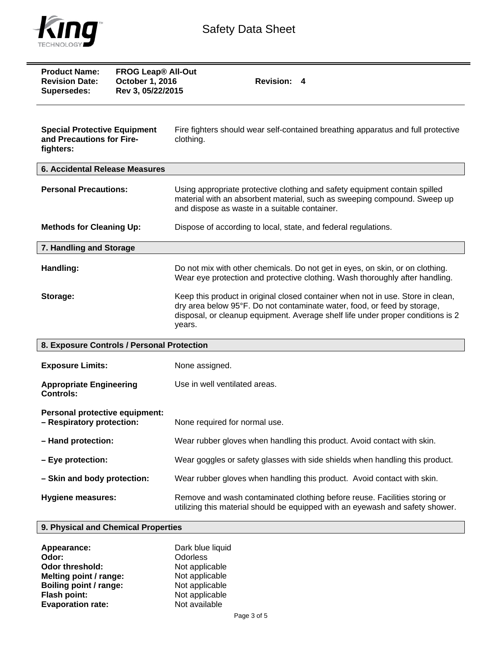

| <b>Product Name:</b><br><b>Revision Date:</b><br><b>Supersedes:</b>           | <b>FROG Leap<sup>®</sup> All-Out</b><br>October 1, 2016<br>Rev 3, 05/22/2015 | <b>Revision:</b><br>4                                                                                                                                                                                                                                    |
|-------------------------------------------------------------------------------|------------------------------------------------------------------------------|----------------------------------------------------------------------------------------------------------------------------------------------------------------------------------------------------------------------------------------------------------|
| <b>Special Protective Equipment</b><br>and Precautions for Fire-<br>fighters: |                                                                              | Fire fighters should wear self-contained breathing apparatus and full protective<br>clothing.                                                                                                                                                            |
| <b>6. Accidental Release Measures</b>                                         |                                                                              |                                                                                                                                                                                                                                                          |
| <b>Personal Precautions:</b>                                                  |                                                                              | Using appropriate protective clothing and safety equipment contain spilled<br>material with an absorbent material, such as sweeping compound. Sweep up<br>and dispose as waste in a suitable container.                                                  |
| <b>Methods for Cleaning Up:</b>                                               |                                                                              | Dispose of according to local, state, and federal regulations.                                                                                                                                                                                           |
| 7. Handling and Storage                                                       |                                                                              |                                                                                                                                                                                                                                                          |
| Handling:                                                                     |                                                                              | Do not mix with other chemicals. Do not get in eyes, on skin, or on clothing.<br>Wear eye protection and protective clothing. Wash thoroughly after handling.                                                                                            |
| Storage:                                                                      |                                                                              | Keep this product in original closed container when not in use. Store in clean,<br>dry area below 95°F. Do not contaminate water, food, or feed by storage,<br>disposal, or cleanup equipment. Average shelf life under proper conditions is 2<br>years. |
| 8. Exposure Controls / Personal Protection                                    |                                                                              |                                                                                                                                                                                                                                                          |
| <b>Exposure Limits:</b>                                                       |                                                                              | None assigned.                                                                                                                                                                                                                                           |
| <b>Appropriate Engineering</b><br><b>Controls:</b>                            |                                                                              | Use in well ventilated areas.                                                                                                                                                                                                                            |
| Personal protective equipment:<br>- Respiratory protection:                   |                                                                              | None required for normal use.                                                                                                                                                                                                                            |
| - Hand protection:                                                            |                                                                              | Wear rubber gloves when handling this product. Avoid contact with skin.                                                                                                                                                                                  |
| - Eye protection:                                                             |                                                                              | Wear goggles or safety glasses with side shields when handling this product.                                                                                                                                                                             |
| - Skin and body protection:                                                   |                                                                              | Wear rubber gloves when handling this product. Avoid contact with skin.                                                                                                                                                                                  |
| <b>Hygiene measures:</b>                                                      |                                                                              | Remove and wash contaminated clothing before reuse. Facilities storing or<br>utilizing this material should be equipped with an eyewash and safety shower.                                                                                               |

## **9. Physical and Chemical Properties**

| Appearance:              | Dark blue liquid |
|--------------------------|------------------|
| Odor:                    | Odorless         |
| <b>Odor threshold:</b>   | Not applicable   |
| Melting point / range:   | Not applicable   |
| Boiling point / range:   | Not applicable   |
| <b>Flash point:</b>      | Not applicable   |
| <b>Evaporation rate:</b> | Not available    |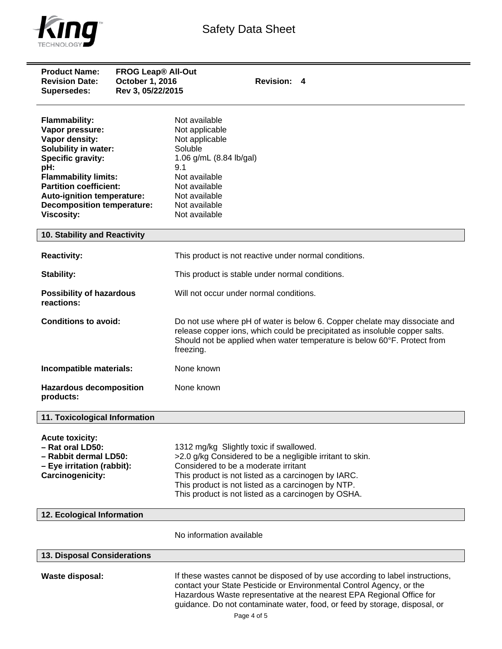

| <b>Product Name:</b><br><b>Revision Date:</b><br><b>Supersedes:</b>                                                                                                                                                                                                          | <b>FROG Leap® All-Out</b><br><b>October 1, 2016</b><br>Rev 3, 05/22/2015 | <b>Revision: 4</b>                                                                                                                                                                                                                                                                                                          |
|------------------------------------------------------------------------------------------------------------------------------------------------------------------------------------------------------------------------------------------------------------------------------|--------------------------------------------------------------------------|-----------------------------------------------------------------------------------------------------------------------------------------------------------------------------------------------------------------------------------------------------------------------------------------------------------------------------|
| <b>Flammability:</b><br>Vapor pressure:<br>Vapor density:<br><b>Solubility in water:</b><br>Specific gravity:<br>pH:<br><b>Flammability limits:</b><br><b>Partition coefficient:</b><br>Auto-ignition temperature:<br><b>Decomposition temperature:</b><br><b>Viscosity:</b> |                                                                          | Not available<br>Not applicable<br>Not applicable<br>Soluble<br>1.06 g/mL (8.84 lb/gal)<br>9.1<br>Not available<br>Not available<br>Not available<br>Not available<br>Not available                                                                                                                                         |
| 10. Stability and Reactivity                                                                                                                                                                                                                                                 |                                                                          |                                                                                                                                                                                                                                                                                                                             |
| <b>Reactivity:</b>                                                                                                                                                                                                                                                           |                                                                          | This product is not reactive under normal conditions.                                                                                                                                                                                                                                                                       |
| <b>Stability:</b>                                                                                                                                                                                                                                                            |                                                                          | This product is stable under normal conditions.                                                                                                                                                                                                                                                                             |
| <b>Possibility of hazardous</b><br>reactions:                                                                                                                                                                                                                                |                                                                          | Will not occur under normal conditions.                                                                                                                                                                                                                                                                                     |
| <b>Conditions to avoid:</b>                                                                                                                                                                                                                                                  |                                                                          | Do not use where pH of water is below 6. Copper chelate may dissociate and<br>release copper ions, which could be precipitated as insoluble copper salts.<br>Should not be applied when water temperature is below 60°F. Protect from<br>freezing.                                                                          |
| Incompatible materials:                                                                                                                                                                                                                                                      |                                                                          | None known                                                                                                                                                                                                                                                                                                                  |
| <b>Hazardous decomposition</b><br>products:                                                                                                                                                                                                                                  |                                                                          | None known                                                                                                                                                                                                                                                                                                                  |
| 11. Toxicological Information                                                                                                                                                                                                                                                |                                                                          |                                                                                                                                                                                                                                                                                                                             |
| <b>Acute toxicity:</b><br>- Rat oral LD50:<br>- Rabbit dermal LD50:<br>- Eye irritation (rabbit):<br>Carcinogenicity:                                                                                                                                                        |                                                                          | 1312 mg/kg Slightly toxic if swallowed.<br>>2.0 g/kg Considered to be a negligible irritant to skin.<br>Considered to be a moderate irritant<br>This product is not listed as a carcinogen by IARC.<br>This product is not listed as a carcinogen by NTP.<br>This product is not listed as a carcinogen by OSHA.            |
| 12. Ecological Information                                                                                                                                                                                                                                                   |                                                                          |                                                                                                                                                                                                                                                                                                                             |
|                                                                                                                                                                                                                                                                              |                                                                          | No information available                                                                                                                                                                                                                                                                                                    |
| 13. Disposal Considerations                                                                                                                                                                                                                                                  |                                                                          |                                                                                                                                                                                                                                                                                                                             |
| <b>Waste disposal:</b>                                                                                                                                                                                                                                                       |                                                                          | If these wastes cannot be disposed of by use according to label instructions,<br>contact your State Pesticide or Environmental Control Agency, or the<br>Hazardous Waste representative at the nearest EPA Regional Office for<br>guidance. Do not contaminate water, food, or feed by storage, disposal, or<br>Page 4 of 5 |